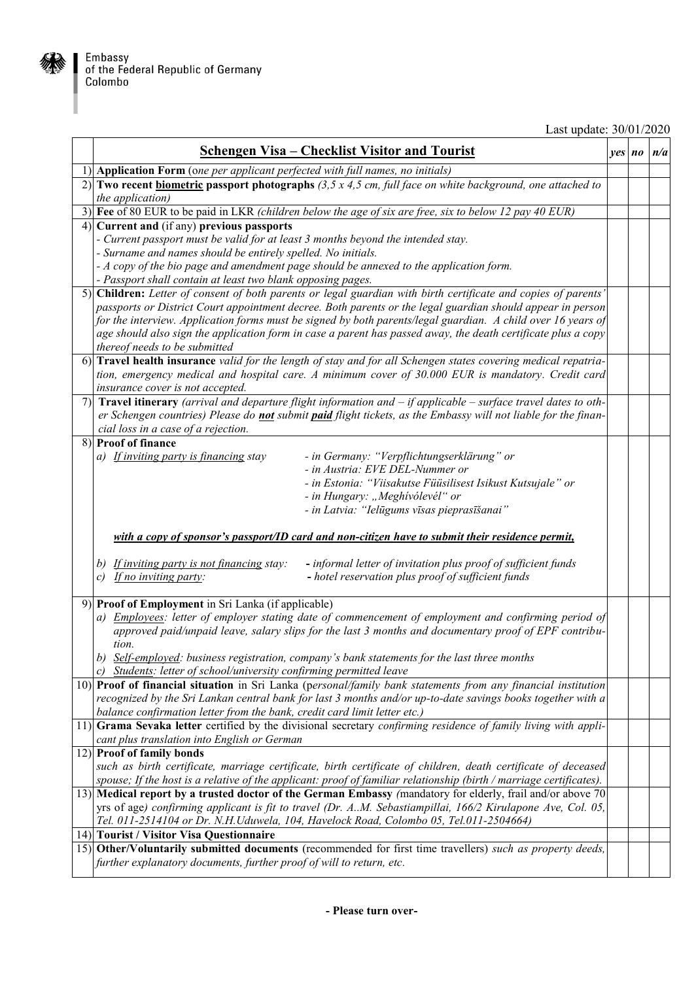## Last update: 30/01/2020

| <u> Schengen Visa – Checklist Visitor and Tourist</u>                                                                                                           | $ves$ $no$ | n/a |
|-----------------------------------------------------------------------------------------------------------------------------------------------------------------|------------|-----|
| 1) Application Form (one per applicant perfected with full names, no initials)                                                                                  |            |     |
| 2) Two recent biometric passport photographs $(3,5 \times 4,5 \text{ cm}, \text{full face on white background},$ one attached to<br>the application)            |            |     |
| 3) Fee of 80 EUR to be paid in LKR (children below the age of six are free, six to below 12 pay 40 EUR)                                                         |            |     |
| 4) Current and (if any) previous passports                                                                                                                      |            |     |
| - Current passport must be valid for at least 3 months beyond the intended stay.                                                                                |            |     |
| - Surname and names should be entirely spelled. No initials.                                                                                                    |            |     |
| - A copy of the bio page and amendment page should be annexed to the application form.                                                                          |            |     |
| - Passport shall contain at least two blank opposing pages.                                                                                                     |            |     |
| 5) Children: Letter of consent of both parents or legal guardian with birth certificate and copies of parents'                                                  |            |     |
| passports or District Court appointment decree. Both parents or the legal guardian should appear in person                                                      |            |     |
| for the interview. Application forms must be signed by both parents/legal guardian. A child over 16 years of                                                    |            |     |
| age should also sign the application form in case a parent has passed away, the death certificate plus a copy<br>thereof needs to be submitted                  |            |     |
| 6) Travel health insurance valid for the length of stay and for all Schengen states covering medical repatria-                                                  |            |     |
| tion, emergency medical and hospital care. A minimum cover of 30.000 EUR is mandatory. Credit card                                                              |            |     |
| insurance cover is not accepted.                                                                                                                                |            |     |
| 7) Travel itinerary (arrival and departure flight information and $-i f$ applicable $-$ surface travel dates to oth-                                            |            |     |
| er Schengen countries) Please do not submit paid flight tickets, as the Embassy will not liable for the finan-                                                  |            |     |
| cial loss in a case of a rejection.                                                                                                                             |            |     |
| 8) Proof of finance                                                                                                                                             |            |     |
| - in Germany: "Verpflichtungserklärung" or<br>a) If inviting party is financing stay                                                                            |            |     |
| - in Austria: EVE DEL-Nummer or                                                                                                                                 |            |     |
| - in Estonia: "Viisakutse Füüsilisest Isikust Kutsujale" or<br>- in Hungary: "Meghívólevél" or                                                                  |            |     |
| - in Latvia: "Ielūgums vīsas pieprasīšanai"                                                                                                                     |            |     |
|                                                                                                                                                                 |            |     |
| with a copy of sponsor's passport/ID card and non-citizen have to submit their residence permit,                                                                |            |     |
| - informal letter of invitation plus proof of sufficient funds<br>b) If inviting party is not financing stay:                                                   |            |     |
| If no inviting party:<br>- hotel reservation plus proof of sufficient funds<br>$\mathcal{C}$                                                                    |            |     |
|                                                                                                                                                                 |            |     |
| 9) Proof of Employment in Sri Lanka (if applicable)                                                                                                             |            |     |
| a) Employees: letter of employer stating date of commencement of employment and confirming period of                                                            |            |     |
| approved paid/unpaid leave, salary slips for the last 3 months and documentary proof of EPF contribu-                                                           |            |     |
| tion.                                                                                                                                                           |            |     |
| b) Self-employed: business registration, company's bank statements for the last three months                                                                    |            |     |
| c) Students: letter of school/university confirming permitted leave                                                                                             |            |     |
| 10) Proof of financial situation in Sri Lanka (personal/family bank statements from any financial institution                                                   |            |     |
| recognized by the Sri Lankan central bank for last 3 months and/or up-to-date savings books together with a                                                     |            |     |
| balance confirmation letter from the bank, credit card limit letter etc.)                                                                                       |            |     |
| 11) Grama Sevaka letter certified by the divisional secretary confirming residence of family living with appli-<br>cant plus translation into English or German |            |     |
| 12) Proof of family bonds                                                                                                                                       |            |     |
| such as birth certificate, marriage certificate, birth certificate of children, death certificate of deceased                                                   |            |     |
| spouse; If the host is a relative of the applicant: proof of familiar relationship (birth / marriage certificates).                                             |            |     |
| 13) Medical report by a trusted doctor of the German Embassy (mandatory for elderly, frail and/or above 70                                                      |            |     |
| yrs of age) confirming applicant is fit to travel (Dr. A.M. Sebastiampillai, 166/2 Kirulapone Ave, Col. 05,                                                     |            |     |
| Tel. 011-2514104 or Dr. N.H.Uduwela, 104, Havelock Road, Colombo 05, Tel.011-2504664)                                                                           |            |     |
| 14) Tourist / Visitor Visa Questionnaire                                                                                                                        |            |     |
| 15) Other/Voluntarily submitted documents (recommended for first time travellers) such as property deeds,                                                       |            |     |
| further explanatory documents, further proof of will to return, etc.                                                                                            |            |     |